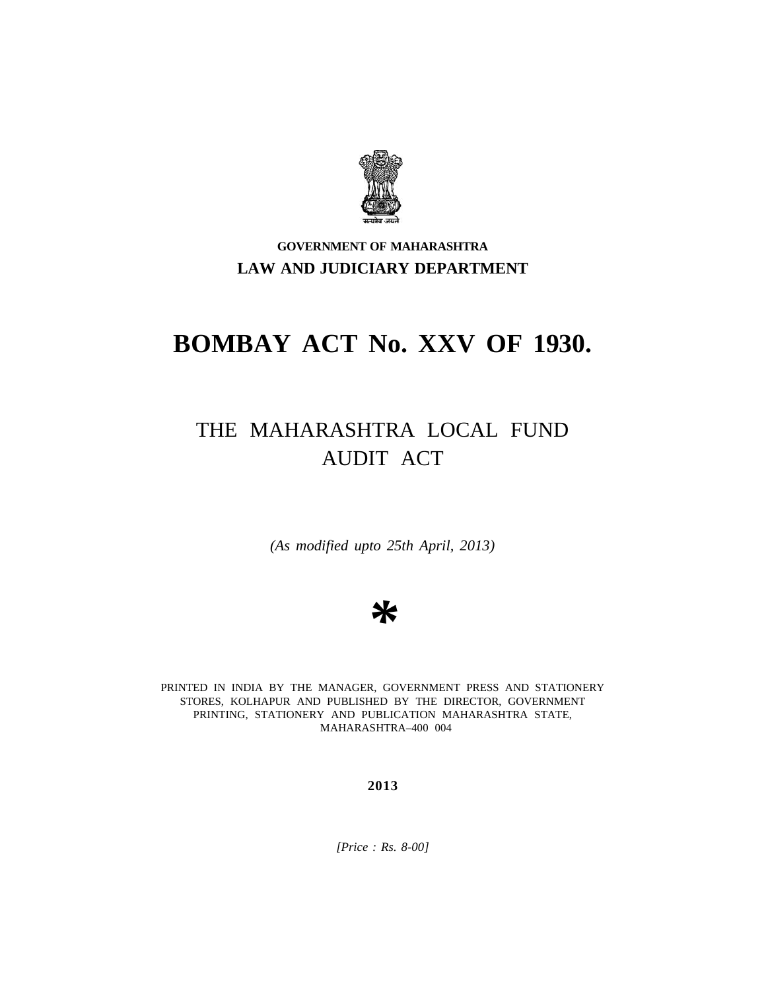

# **GOVERNMENT OF MAHARASHTRA LAW AND JUDICIARY DEPARTMENT**

# **BOMBAY ACT No. XXV OF 1930.**

# THE MAHARASHTRA LOCAL FUND AUDIT ACT

*(As modified upto 25th April, 2013)*

# *\**

PRINTED IN INDIA BY THE MANAGER, GOVERNMENT PRESS AND STATIONERY STORES, KOLHAPUR AND PUBLISHED BY THE DIRECTOR, GOVERNMENT PRINTING, STATIONERY AND PUBLICATION MAHARASHTRA STATE, MAHARASHTRA–400 004

**2013**

*[Price : Rs. 8-00]*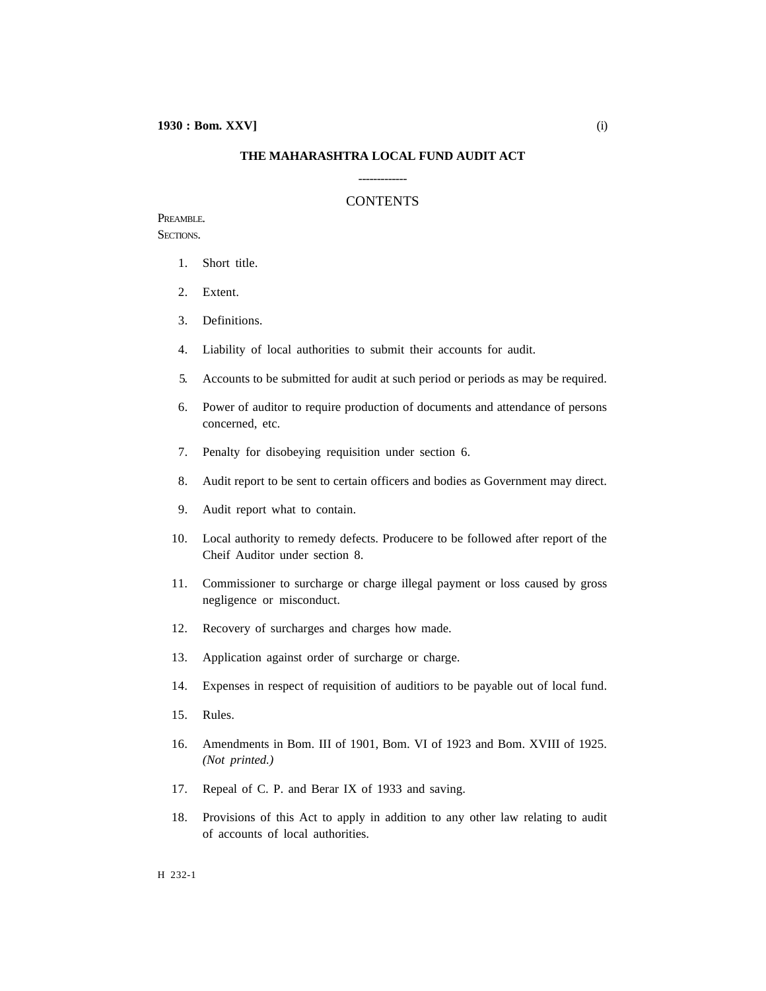#### **THE MAHARASHTRA LOCAL FUND AUDIT ACT**

-------------

#### CONTENTS

#### PREAMBLE. SECTIONS.

- 1. Short title.
- 2. Extent.
- 3. Definitions.
- 4. Liability of local authorities to submit their accounts for audit.
- 5. Accounts to be submitted for audit at such period or periods as may be required.
- 6. Power of auditor to require production of documents and attendance of persons concerned, etc.
- 7. Penalty for disobeying requisition under section 6.
- 8. Audit report to be sent to certain officers and bodies as Government may direct.
- 9. Audit report what to contain.
- 10. Local authority to remedy defects. Producere to be followed after report of the Cheif Auditor under section 8.
- 11. Commissioner to surcharge or charge illegal payment or loss caused by gross negligence or misconduct.
- 12. Recovery of surcharges and charges how made.
- 13. Application against order of surcharge or charge.
- 14. Expenses in respect of requisition of auditiors to be payable out of local fund.
- 15. Rules.
- 16. Amendments in Bom. III of 1901, Bom. VI of 1923 and Bom. XVIII of 1925. *(Not printed.)*
- 17. Repeal of C. P. and Berar IX of 1933 and saving.
- 18. Provisions of this Act to apply in addition to any other law relating to audit of accounts of local authorities.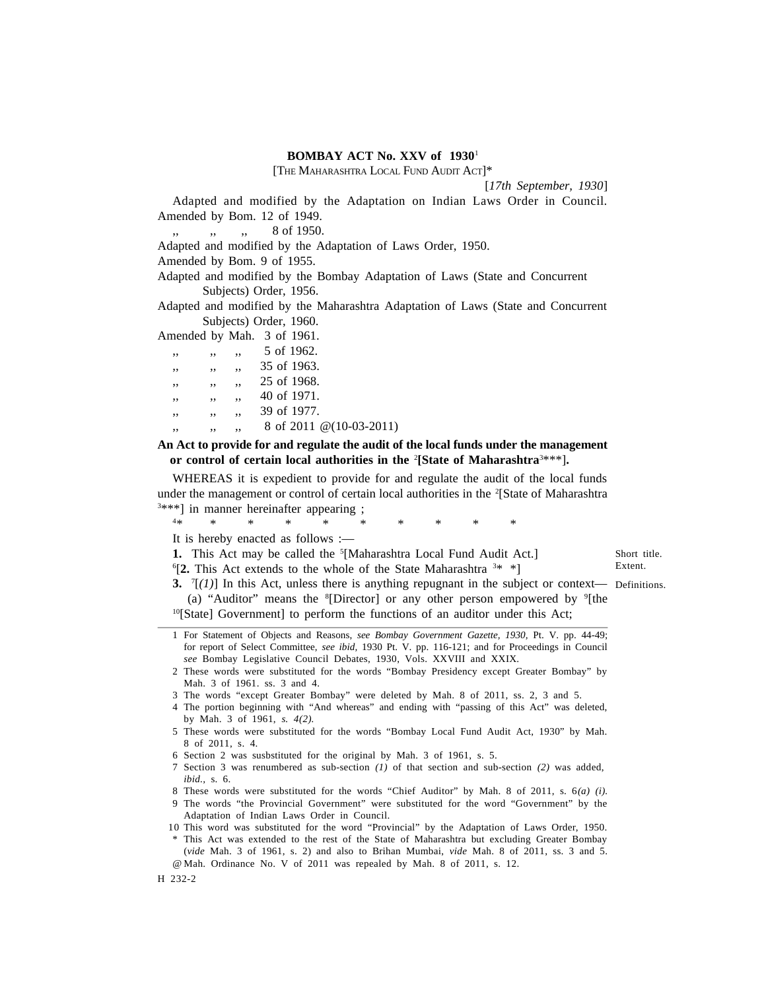#### **BOMBAY ACT No. XXV of 1930**<sup>1</sup>

[THE MAHARASHTRA LOCAL FUND AUDIT ACT]\*

[*17th September, 1930*]

Adapted and modified by the Adaptation on Indian Laws Order in Council. Amended by Bom. 12 of 1949.

 $, \, \cdot \,$ , 8 of 1950.

Adapted and modified by the Adaptation of Laws Order, 1950.

Amended by Bom. 9 of 1955.

Adapted and modified by the Bombay Adaptation of Laws (State and Concurrent Subjects) Order, 1956.

Adapted and modified by the Maharashtra Adaptation of Laws (State and Concurrent Subjects) Order, 1960.

Amended by Mah. 3 of 1961.

|              | .            |                |                  |
|--------------|--------------|----------------|------------------|
| $^{\prime}$  | $\mathbf{I}$ | $^{\prime}$    | 5 of 1962.       |
| $^{\prime}$  | $\mathbf{I}$ | $\overline{1}$ | $35$ of $1963$ . |
| $\mathbf{I}$ | $\mathbf{L}$ | $\overline{1}$ | 25 of 1968.      |
| $^{\prime}$  | $\mathbf{I}$ | $\overline{1}$ | 40 of 1971.      |
| $^{\prime}$  |              | $^{\prime}$    | 39 of 1977.      |

 $, \, \cdot \,$ , , , 8 of 2011 @(10-03-2011)

**An Act to provide for and regulate the audit of the local funds under the management or control of certain local authorities in the** <sup>2</sup>**[State of Maharashtra**<sup>3</sup>\*\*\*]**.**

WHEREAS it is expedient to provide for and regulate the audit of the local funds under the management or control of certain local authorities in the <sup>2</sup>[State of Maharashtra  $\begin{array}{c}3 \star \star \star \\ 1 \star \end{array}$  in manner hereinafter appearing ;

<sup>4</sup>\* \* \* \* \* \* \* \* \* \*

It is hereby enacted as follows :—

**1.** This Act may be called the <sup>5</sup>[Maharashtra Local Fund Audit Act.]

<sup>6</sup>[**2.** This Act extends to the whole of the State Maharashtra <sup>3</sup>\* \*]

Short title. Extent.

**3.** <sup>7</sup>[*(1)*] In this Act, unless there is anything repugnant in the subject or context— Definitions. (a) "Auditor" means the  ${}^{8}$ [Director] or any other person empowered by  ${}^{9}$ [the <sup>10</sup>[State] Government] to perform the functions of an auditor under this Act;

3 The words "except Greater Bombay" were deleted by Mah. 8 of 2011, ss. 2, 3 and 5.

4 The portion beginning with "And whereas" and ending with "passing of this Act" was deleted, by Mah. 3 of 1961, *s. 4(2).*

- 5 These words were substituted for the words "Bombay Local Fund Audit Act, 1930" by Mah. 8 of 2011, s. 4.
- 6 Section 2 was susbstituted for the original by Mah. 3 of 1961, s. 5.
- 7 Section 3 was renumbered as sub-section *(1)* of that section and sub-section *(2)* was added, *ibid.,* s. 6.

8 These words were substituted for the words "Chief Auditor" by Mah. 8 of 2011, s. 6*(a) (i).*

9 The words "the Provincial Government" were substituted for the word "Government" by the Adaptation of Indian Laws Order in Council.

 10 This word was substituted for the word "Provincial" by the Adaptation of Laws Order, 1950. This Act was extended to the rest of the State of Maharashtra but excluding Greater Bombay (*vide* Mah. 3 of 1961, s. 2) and also to Brihan Mumbai, *vide* Mah. 8 of 2011, ss. 3 and 5. @ Mah. Ordinance No. V of 2011 was repealed by Mah. 8 of 2011, s. 12.

<sup>1</sup> For Statement of Objects and Reasons, *see Bombay Government Gazette, 1930,* Pt. V. pp. 44-49; for report of Select Committee, *see ibid,* 1930 Pt. V. pp. 116-121; and for Proceedings in Council *see* Bombay Legislative Council Debates, 1930, Vols. XXVIII and XXIX.

<sup>2</sup> These words were substituted for the words "Bombay Presidency except Greater Bombay" by Mah. 3 of 1961. ss. 3 and 4.

H 232-2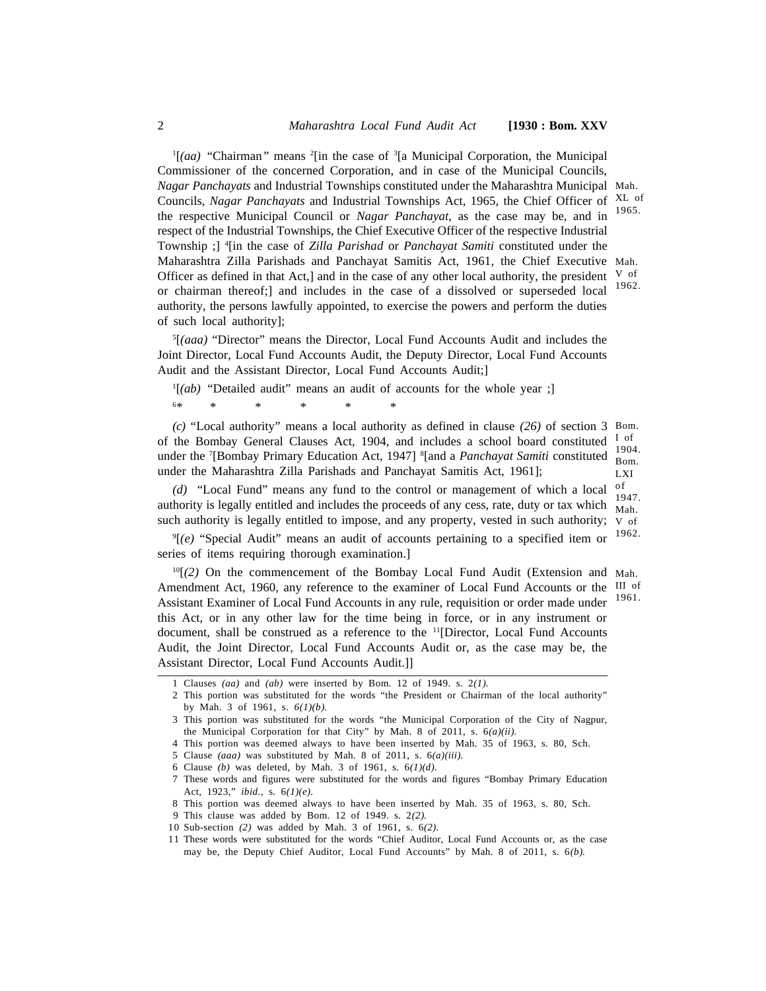<sup>1</sup>[*(aa)* "Chairman*"* means <sup>2</sup>[in the case of <sup>3</sup>[a Municipal Corporation, the Municipal Commissioner of the concerned Corporation, and in case of the Municipal Councils, *Nagar Panchayats* and Industrial Townships constituted under the Maharashtra Municipal Mah. Councils, Nagar Panchayats and Industrial Townships Act, 1965, the Chief Officer of XL of the respective Municipal Council or *Nagar Panchayat,* as the case may be, and in respect of the Industrial Townships, the Chief Executive Officer of the respective Industrial Township ;] <sup>4</sup>[in the case of *Zilla Parishad* or*Panchayat Samiti* constituted under the Maharashtra Zilla Parishads and Panchayat Samitis Act, 1961, the Chief Executive Mah. Officer as defined in that Act,] and in the case of any other local authority, the president  $\vee$  of or chairman thereof;] and includes in the case of a dissolved or superseded local authority, the persons lawfully appointed, to exercise the powers and perform the duties of such local authority]; 1965. 1962.

<sup>5</sup>[*(aaa)* "Director" means the Director, Local Fund Accounts Audit and includes the Joint Director, Local Fund Accounts Audit, the Deputy Director, Local Fund Accounts Audit and the Assistant Director, Local Fund Accounts Audit;]

<sup>1</sup>[*(ab)* "Detailed audit" means an audit of accounts for the whole year ;] <sup>6</sup>\* \* \* \* \* \*

*(c)* "Local authority" means a local authority as defined in clause *(26)* of section 3 Bom. of the Bombay General Clauses Act, 1904, and includes a school board constituted  $\frac{1}{1}$  of under the <sup>7</sup>[Bombay Primary Education Act, 1947] <sup>8</sup>[and a *Panchayat Samiti* constituted 1904. under the Maharashtra Zilla Parishads and Panchayat Samitis Act, 1961]; I of Bom. LXI

*(d)* "Local Fund" means any fund to the control or management of which a local authority is legally entitled and includes the proceeds of any cess, rate, duty or tax which  $\frac{1}{\text{Mah}}$ such authority is legally entitled to impose, and any property, vested in such authority;  $\vee$  of of 1947.

<sup>9</sup>[*(e)* "Special Audit" means an audit of accounts pertaining to a specified item or series of items requiring thorough examination.] 1962.

<sup>10</sup>[*(2)* On the commencement of the Bombay Local Fund Audit (Extension and Mah. Amendment Act, 1960, any reference to the examiner of Local Fund Accounts or the III of Assistant Examiner of Local Fund Accounts in any rule, requisition or order made under this Act, or in any other law for the time being in force, or in any instrument or document, shall be construed as a reference to the <sup>11</sup>[Director, Local Fund Accounts Audit, the Joint Director, Local Fund Accounts Audit or, as the case may be, the Assistant Director, Local Fund Accounts Audit.]] 1961.

<sup>1</sup> Clauses *(aa)* and *(ab)* were inserted by Bom. 12 of 1949. s. 2*(1).*

<sup>2</sup> This portion was substituted for the words "the President or Chairman of the local authority" by Mah. 3 of 1961, s. *6(1)(b).*

<sup>3</sup> This portion was substituted for the words "the Municipal Corporation of the City of Nagpur, the Municipal Corporation for that City" by Mah. 8 of 2011, s. 6*(a)(ii).*

<sup>4</sup> This portion was deemed always to have been inserted by Mah. 35 of 1963, s. 80, Sch.

<sup>5</sup> Clause *(aaa)* was substituted by Mah. 8 of 2011, s. 6*(a)(iii).*

<sup>6</sup> Clause *(b)* was deleted, by Mah. 3 of 1961, s. 6*(1)(d).*

<sup>7</sup> These words and figures were substituted for the words and figures "Bombay Primary Education Act, 1923," *ibid.,* s. 6*(1)(e).*

<sup>8</sup> This portion was deemed always to have been inserted by Mah. 35 of 1963, s. 80, Sch.

 <sup>9</sup> This clause was added by Bom. 12 of 1949. s. 2*(2).*

 <sup>10</sup> Sub-section *(2)* was added by Mah. 3 of 1961, s. 6*(2).*

 <sup>11</sup> These words were substituted for the words "Chief Auditor, Local Fund Accounts or, as the case may be, the Deputy Chief Auditor, Local Fund Accounts" by Mah. 8 of 2011, s. 6*(b).*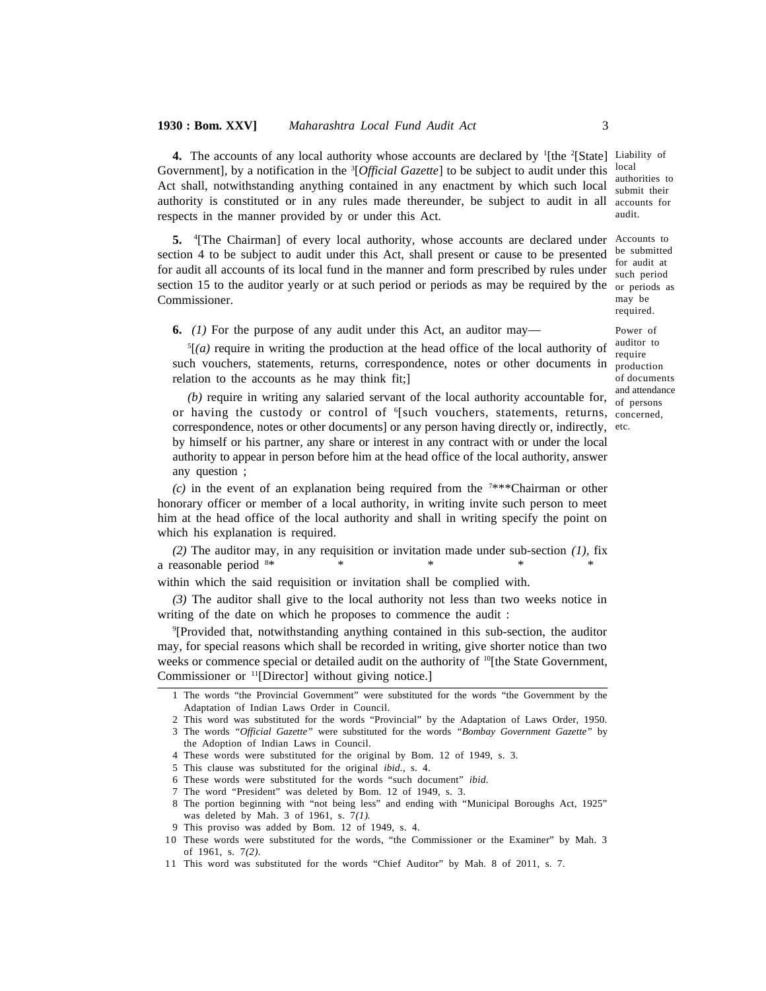#### **1930 : Bom. XXV]** *Maharashtra Local Fund Audit Act* 3

4. The accounts of any local authority whose accounts are declared by <sup>1</sup>[the <sup>2</sup>[State] Liability of local Act shall, notwithstanding anything contained in any enactment by which such local submit their authority is constituted or in any rules made thereunder, be subject to audit in all accounts for audit. Government], by a notification in the <sup>3</sup>[Official Gazette] to be subject to audit under this local authorities to respects in the manner provided by or under this Act.

5. <sup>4</sup>[The Chairman] of every local authority, whose accounts are declared under Accounts to be submitted for audit at such period section 15 to the auditor yearly or at such period or periods as may be required by the or periods as may be section 4 to be subject to audit under this Act, shall present or cause to be presented for audit all accounts of its local fund in the manner and form prescribed by rules under Commissioner.

**6.** *(1)* For the purpose of any audit under this Act, an auditor may—

<sup>5</sup>[*(a)* require in writing the production at the head office of the local authority of such vouchers, statements, returns, correspondence, notes or other documents in relation to the accounts as he may think fit;]

(b) require in writing any salaried servant of the local authority accountable for,  $\frac{d}{d}$  of persons or having the custody or control of <sup>6</sup>[such vouchers, statements, returns, <sub>concerned,</sub> correspondence, notes or other documents] or any person having directly or, indirectly, etc. by himself or his partner, any share or interest in any contract with or under the local authority to appear in person before him at the head office of the local authority, answer any question ;

*(c)* in the event of an explanation being required from the <sup>7</sup>\*\*\*Chairman or other honorary officer or member of a local authority, in writing invite such person to meet him at the head office of the local authority and shall in writing specify the point on which his explanation is required.

*(2)* The auditor may, in any requisition or invitation made under sub-section *(1),* fix a reasonable period  $8*$ 

within which the said requisition or invitation shall be complied with.

*(3)* The auditor shall give to the local authority not less than two weeks notice in writing of the date on which he proposes to commence the audit :

<sup>9</sup>[Provided that, notwithstanding anything contained in this sub-section, the auditor may, for special reasons which shall be recorded in writing, give shorter notice than two weeks or commence special or detailed audit on the authority of <sup>10</sup>[the State Government, Commissioner or <sup>11</sup>[Director] without giving notice.]

7 The word "President" was deleted by Bom. 12 of 1949, s. 3.

required. Power of auditor to require production of documents and attendance

authorities to

<sup>1</sup> The words "the Provincial Government" were substituted for the words "the Government by the Adaptation of Indian Laws Order in Council.

<sup>2</sup> This word was substituted for the words "Provincial" by the Adaptation of Laws Order, 1950.

<sup>3</sup> The words *"Official Gazette"* were substituted for the words *"Bombay Government Gazette"* by the Adoption of Indian Laws in Council.

<sup>4</sup> These words were substituted for the original by Bom. 12 of 1949, s. 3.

<sup>5</sup> This clause was substituted for the original *ibid.,* s. 4.

<sup>6</sup> These words were substituted for the words "such document" *ibid.*

<sup>8</sup> The portion beginning with "not being less" and ending with "Municipal Boroughs Act, 1925" was deleted by Mah. 3 of 1961, s. 7*(1).*

<sup>9</sup> This proviso was added by Bom. 12 of 1949, s. 4.

<sup>10</sup> These words were substituted for the words, "the Commissioner or the Examiner" by Mah. 3 of 1961, s. 7*(2).*

<sup>11</sup> This word was substituted for the words "Chief Auditor" by Mah. 8 of 2011, s. 7.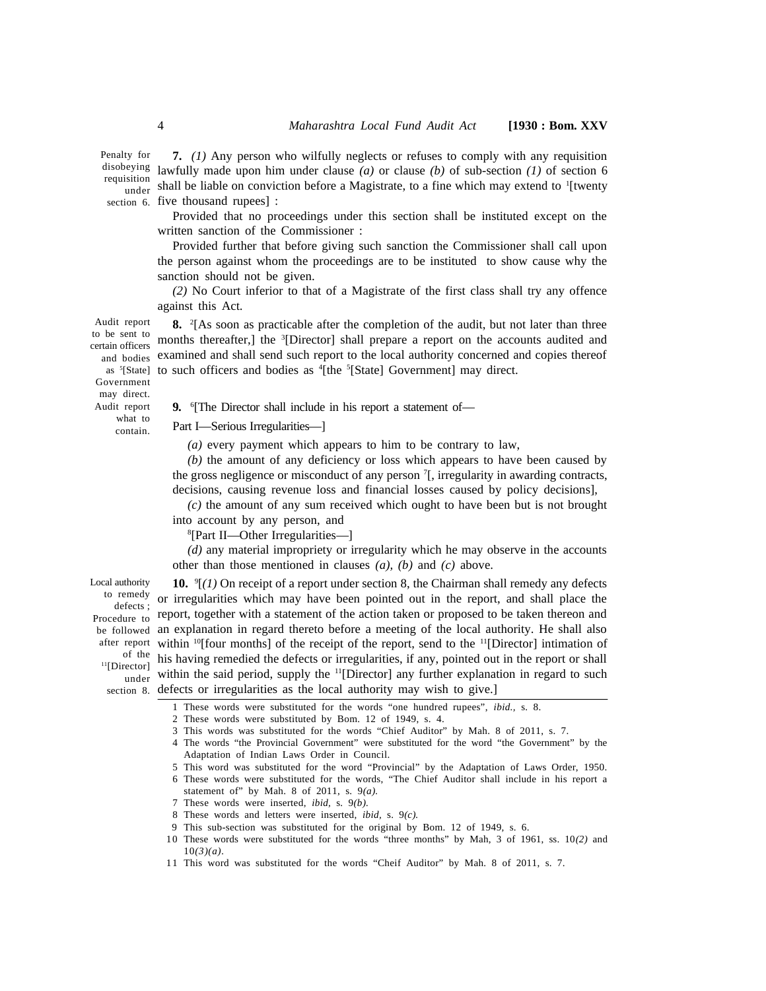Penalty for disobeying <sub>lawfu</sub>

requisition lawfully made upon him under clause *(a)* or clause *(b)* of sub-section *(1)* of section 6  $_{\text{under}}^{31001}$  shall be liable on conviction before a Magistrate, to a fine which may extend to 1[twenty section 6. five thousand rupees] : **7.** *(1)* Any person who wilfully neglects or refuses to comply with any requisition

Provided that no proceedings under this section shall be instituted except on the written sanction of the Commissioner :

Provided further that before giving such sanction the Commissioner shall call upon the person against whom the proceedings are to be instituted to show cause why the sanction should not be given.

*(2)* No Court inferior to that of a Magistrate of the first class shall try any offence against this Act.

Audit report to be sent to certain officers and bodies examined and shall send such report to the local authority concerned and copies thereof as <sup>s</sup>[State] to such officers and bodies as <sup>4</sup>[the <sup>s</sup>[State] Government] may direct. **8.** <sup>2</sup>[As soon as practicable after the completion of the audit, but not later than three months thereafter,] the <sup>3</sup>[Director] shall prepare a report on the accounts audited and

Government may direct. Audit report what to contain.

**9.** <sup>6</sup>[The Director shall include in his report a statement of—

Part I—Serious Irregularities—]

*(a)* every payment which appears to him to be contrary to law,

*(b)* the amount of any deficiency or loss which appears to have been caused by the gross negligence or misconduct of any person <sup>7</sup>[, irregularity in awarding contracts, decisions, causing revenue loss and financial losses caused by policy decisions],

*(c)* the amount of any sum received which ought to have been but is not brought into account by any person, and

<sup>8</sup>[Part II—Other Irregularities—]

*(d)* any material impropriety or irregularity which he may observe in the accounts other than those mentioned in clauses *(a), (b)* and *(c)* above.

Local authority defects ; of the <sup>11</sup>[Director]

**10.** <sup>9</sup>[*(1)* On receipt of a report under section 8, the Chairman shall remedy any defects to remedy or irregularities which may have been pointed out in the report, and shall place the Procedure to report, together with a statement of the action taken or proposed to be taken thereon and be followed an explanation in regard thereto before a meeting of the local authority. He shall also after report within <sup>10</sup>[four months] of the receipt of the report, send to the <sup>11</sup>[Director] intimation of his having remedied the defects or irregularities, if any, pointed out in the report or shall under within the said period, supply the <sup>11</sup>[Director] any further explanation in regard to such section 8. defects or irregularities as the local authority may wish to give.]

1 These words were substituted for the words "one hundred rupees", *ibid.,* s. 8.

- 2 These words were substituted by Bom. 12 of 1949, s. 4.
- 3 This words was substituted for the words "Chief Auditor" by Mah. 8 of 2011, s. 7.
- 4 The words "the Provincial Government" were substituted for the word "the Government" by the Adaptation of Indian Laws Order in Council.
- 5 This word was substituted for the word "Provincial" by the Adaptation of Laws Order, 1950.

6 These words were substituted for the words, "The Chief Auditor shall include in his report a statement of" by Mah. 8 of 2011, s. 9*(a).*

- 7 These words were inserted, *ibid,* s. 9*(b).*
- 8 These words and letters were inserted, *ibid,* s. 9*(c).*
- 9 This sub-section was substituted for the original by Bom. 12 of 1949, s. 6.
- 10 These words were substituted for the words "three months" by Mah, 3 of 1961, ss. 10*(2)* and 10*(3)(a).*
- 11 This word was substituted for the words "Cheif Auditor" by Mah. 8 of 2011, s. 7.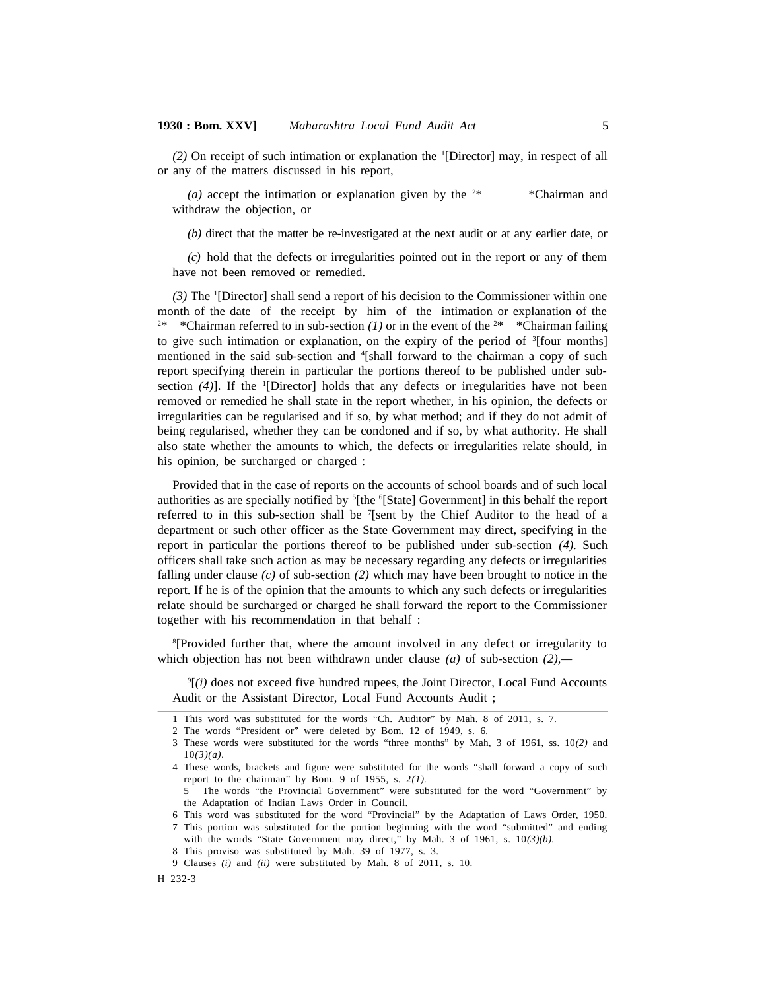*(2)* On receipt of such intimation or explanation the <sup>1</sup>[Director] may, in respect of all or any of the matters discussed in his report,

(a) accept the intimation or explanation given by the  $2*$  \*  $\sim$  \*Chairman and withdraw the objection, or

*(b)* direct that the matter be re-investigated at the next audit or at any earlier date, or

*(c)* hold that the defects or irregularities pointed out in the report or any of them have not been removed or remedied.

*(3)* The <sup>1</sup>[Director] shall send a report of his decision to the Commissioner within one month of the date of the receipt by him of the intimation or explanation of the <sup>2\*</sup> \*Chairman referred to in sub-section (1) or in the event of the <sup>2\*</sup> \*Chairman failing to give such intimation or explanation, on the expiry of the period of  ${}^{3}$ [four months] mentioned in the said sub-section and <sup>4</sup>[shall forward to the chairman a copy of such report specifying therein in particular the portions thereof to be published under subsection *(4)*]. If the <sup>1</sup>[Director] holds that any defects or irregularities have not been removed or remedied he shall state in the report whether, in his opinion, the defects or irregularities can be regularised and if so, by what method; and if they do not admit of being regularised, whether they can be condoned and if so, by what authority. He shall also state whether the amounts to which, the defects or irregularities relate should, in his opinion, be surcharged or charged :

Provided that in the case of reports on the accounts of school boards and of such local authorities as are specially notified by <sup>5</sup>[the <sup>6</sup>[State] Government] in this behalf the report referred to in this sub-section shall be <sup>7</sup>[sent by the Chief Auditor to the head of a department or such other officer as the State Government may direct, specifying in the report in particular the portions thereof to be published under sub-section *(4).* Such officers shall take such action as may be necessary regarding any defects or irregularities falling under clause *(c)* of sub-section *(2)* which may have been brought to notice in the report. If he is of the opinion that the amounts to which any such defects or irregularities relate should be surcharged or charged he shall forward the report to the Commissioner together with his recommendation in that behalf :

<sup>8</sup>[Provided further that, where the amount involved in any defect or irregularity to which objection has not been withdrawn under clause *(a)* of sub-section *(2),—*

<sup>9</sup>[*(i)* does not exceed five hundred rupees, the Joint Director, Local Fund Accounts Audit or the Assistant Director, Local Fund Accounts Audit ;

<sup>1</sup> This word was substituted for the words "Ch. Auditor" by Mah. 8 of 2011, s. 7.

<sup>2</sup> The words "President or" were deleted by Bom. 12 of 1949, s. 6.

<sup>3</sup> These words were substituted for the words "three months" by Mah, 3 of 1961, ss. 10*(2)* and 10*(3)(a).*

<sup>4</sup> These words, brackets and figure were substituted for the words "shall forward a copy of such report to the chairman" by Bom. 9 of 1955, s. 2*(1).*

<sup>5</sup> The words "the Provincial Government" were substituted for the word "Government" by the Adaptation of Indian Laws Order in Council.

<sup>6</sup> This word was substituted for the word "Provincial" by the Adaptation of Laws Order, 1950.

<sup>7</sup> This portion was substituted for the portion beginning with the word "submitted" and ending with the words "State Government may direct," by Mah. 3 of 1961, s. 10*(3)(b).*

<sup>8</sup> This proviso was substituted by Mah. 39 of 1977, s. 3.

<sup>9</sup> Clauses *(i)* and *(ii)* were substituted by Mah. 8 of 2011, s. 10.

H 232-3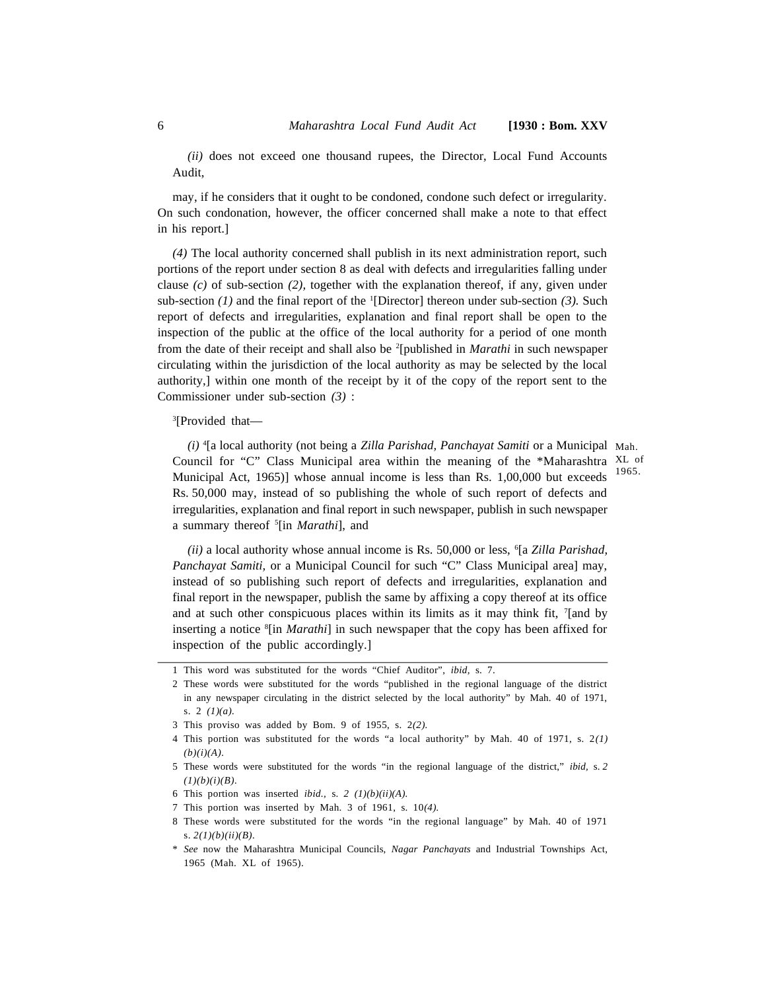*(ii)* does not exceed one thousand rupees, the Director, Local Fund Accounts Audit,

may, if he considers that it ought to be condoned, condone such defect or irregularity. On such condonation, however, the officer concerned shall make a note to that effect in his report.]

*(4)* The local authority concerned shall publish in its next administration report, such portions of the report under section 8 as deal with defects and irregularities falling under clause *(c)* of sub-section *(2),*together with the explanation thereof, if any, given under sub-section *(1)* and the final report of the <sup>1</sup>[Director] thereon under sub-section *(3).* Such report of defects and irregularities, explanation and final report shall be open to the inspection of the public at the office of the local authority for a period of one month from the date of their receipt and shall also be <sup>2</sup>[published in *Marathi* in such newspaper circulating within the jurisdiction of the local authority as may be selected by the local authority,] within one month of the receipt by it of the copy of the report sent to the Commissioner under sub-section *(3)* :

#### <sup>3</sup>[Provided that—

*(i)* <sup>4</sup>[a local authority (not being a *Zilla Parishad, Panchayat Samiti* or a Municipal Mah. Council for "C" Class Municipal area within the meaning of the \*Maharashtra XL of Municipal Act, 1965)] whose annual income is less than Rs. 1,00,000 but exceeds Rs. 50,000 may, instead of so publishing the whole of such report of defects and irregularities, explanation and final report in such newspaper, publish in such newspaper a summary thereof <sup>5</sup>[in *Marathi*], and 1965.

*(ii)* a local authority whose annual income is Rs. 50,000 or less, <sup>6</sup>[a *Zilla Parishad, Panchayat Samiti,* or a Municipal Council for such "C" Class Municipal area] may, instead of so publishing such report of defects and irregularities, explanation and final report in the newspaper, publish the same by affixing a copy thereof at its office and at such other conspicuous places within its limits as it may think fit, <sup>7</sup>[and by inserting a notice <sup>8</sup>[in *Marathi*] in such newspaper that the copy has been affixed for inspection of the public accordingly.]

<sup>1</sup> This word was substituted for the words "Chief Auditor", *ibid,* s. 7.

<sup>2</sup> These words were substituted for the words "published in the regional language of the district in any newspaper circulating in the district selected by the local authority" by Mah. 40 of 1971, s. 2 *(1)(a).*

<sup>3</sup> This proviso was added by Bom. 9 of 1955, s. 2*(2).*

<sup>4</sup> This portion was substituted for the words "a local authority" by Mah. 40 of 1971, s. 2*(1) (b)(i)(A).*

<sup>5</sup> These words were substituted for the words "in the regional language of the district," *ibid,* s. *2 (1)(b)(i)(B).*

<sup>6</sup> This portion was inserted *ibid.,* s. *2 (1)(b)(ii)(A).*

<sup>7</sup> This portion was inserted by Mah. 3 of 1961, s. 10*(4).*

<sup>8</sup> These words were substituted for the words "in the regional language" by Mah. 40 of 1971 s. *2(1)(b)(ii)(B).*

<sup>\*</sup> *See* now the Maharashtra Municipal Councils, *Nagar Panchayats* and Industrial Townships Act, 1965 (Mah. XL of 1965).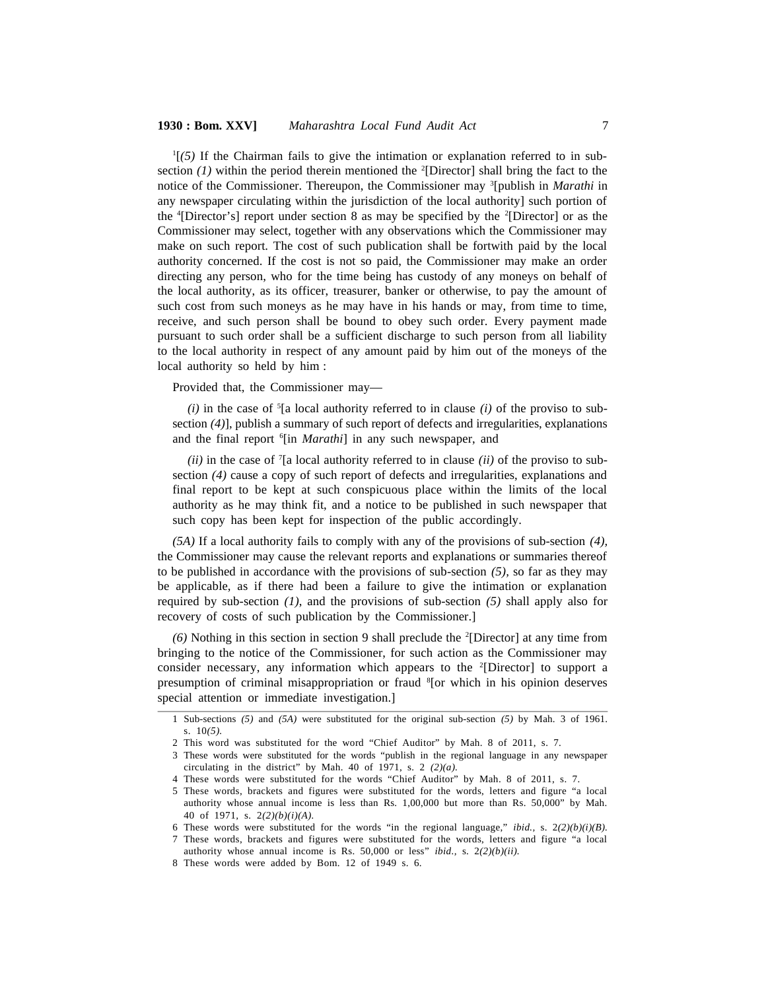#### **1930 : Bom. XXV]** Maharashtra Local Fund Audit Act 7 7

<sup>1</sup>[*(5)* If the Chairman fails to give the intimation or explanation referred to in subsection (1) within the period therein mentioned the <sup>2</sup>[Director] shall bring the fact to the notice of the Commissioner. Thereupon, the Commissioner may <sup>3</sup>[publish in *Marathi* in any newspaper circulating within the jurisdiction of the local authority] such portion of the  $\text{4}$ [Director's] report under section 8 as may be specified by the  $\text{4}$ [Director] or as the Commissioner may select, together with any observations which the Commissioner may make on such report. The cost of such publication shall be fortwith paid by the local authority concerned. If the cost is not so paid, the Commissioner may make an order directing any person, who for the time being has custody of any moneys on behalf of the local authority, as its officer, treasurer, banker or otherwise, to pay the amount of such cost from such moneys as he may have in his hands or may, from time to time, receive, and such person shall be bound to obey such order. Every payment made pursuant to such order shall be a sufficient discharge to such person from all liability to the local authority in respect of any amount paid by him out of the moneys of the local authority so held by him :

Provided that, the Commissioner may—

*(i)* in the case of <sup>5</sup>[a local authority referred to in clause *(i)* of the proviso to subsection *(4)*], publish a summary of such report of defects and irregularities, explanations and the final report <sup>6</sup>[in Marathi] in any such newspaper, and

*(ii)* in the case of <sup>7</sup>[a local authority referred to in clause *(ii)* of the proviso to subsection *(4)* cause a copy of such report of defects and irregularities, explanations and final report to be kept at such conspicuous place within the limits of the local authority as he may think fit, and a notice to be published in such newspaper that such copy has been kept for inspection of the public accordingly.

*(5A)* If a local authority fails to comply with any of the provisions of sub-section *(4),* the Commissioner may cause the relevant reports and explanations or summaries thereof to be published in accordance with the provisions of sub-section *(5),* so far as they may be applicable, as if there had been a failure to give the intimation or explanation required by sub-section *(1)*, and the provisions of sub-section *(5)* shall apply also for recovery of costs of such publication by the Commissioner.]

*(6)* Nothing in this section in section 9 shall preclude the <sup>2</sup>[Director] at any time from bringing to the notice of the Commissioner, for such action as the Commissioner may consider necessary, any information which appears to the  $2$ [Director] to support a presumption of criminal misappropriation or fraud <sup>8</sup>[or which in his opinion deserves special attention or immediate investigation.]

<sup>1</sup> Sub-sections *(5)* and *(5A)* were substituted for the original sub-section *(5)* by Mah. 3 of 1961. s. 10*(5).*

<sup>2</sup> This word was substituted for the word "Chief Auditor" by Mah. 8 of 2011, s. 7.

<sup>3</sup> These words were substituted for the words "publish in the regional language in any newspaper circulating in the district" by Mah. 40 of 1971, s. 2 *(2)(a).*

<sup>4</sup> These words were substituted for the words "Chief Auditor" by Mah. 8 of 2011, s. 7.

<sup>5</sup> These words, brackets and figures were substituted for the words, letters and figure "a local authority whose annual income is less than Rs. 1,00,000 but more than Rs. 50,000" by Mah. 40 of 1971*,* s. 2*(2)(b)(i)(A).*

<sup>6</sup> These words were substituted for the words "in the regional language," *ibid.,* s. 2*(2)(b)(i)(B).*

<sup>7</sup> These words, brackets and figures were substituted for the words, letters and figure "a local authority whose annual income is Rs. 50,000 or less" *ibid.,* s. 2*(2)(b)(ii).*

<sup>8</sup> These words were added by Bom. 12 of 1949 s. 6.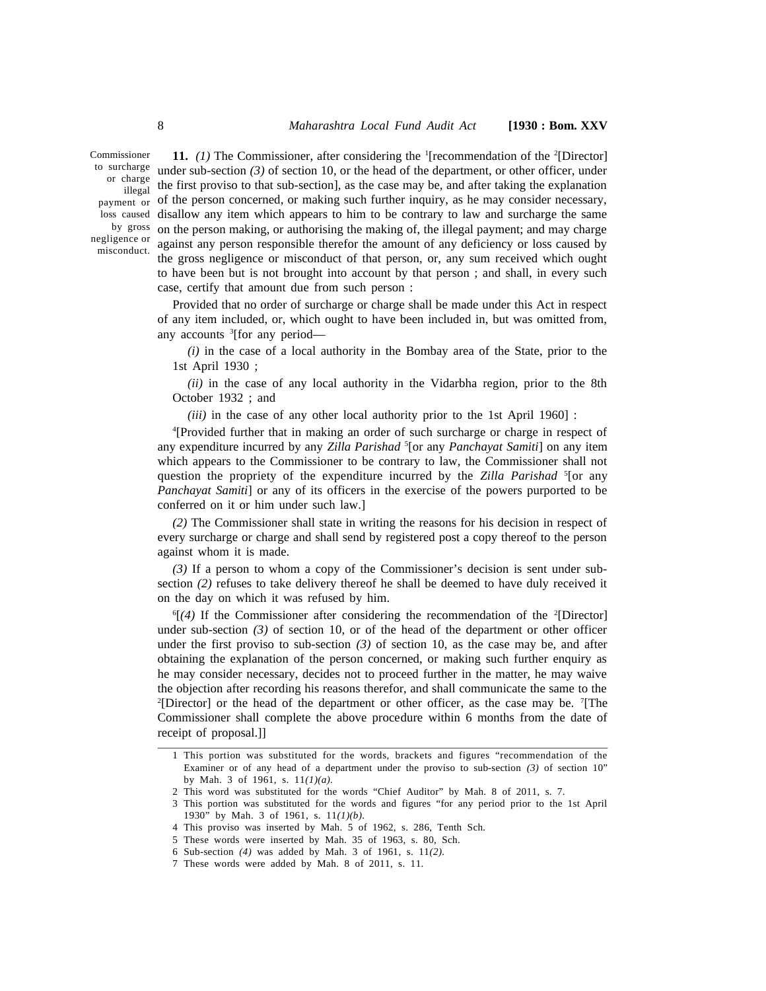Commissioner to surcharge <sub>unde</sub> illegal by gross negligence or misconduct.

surcharge under sub-section (3) of section 10, or the head of the department, or other officer, under<br>or charge the first provise to that sub-section) so the esse may be end ofter taking the syntepation <sub>payment</sub> or of the person concerned, or making such further inquiry, as he may consider necessary, loss caused disallow any item which appears to him to be contrary to law and surcharge the same **11.** *(1)* The Commissioner, after considering the <sup>1</sup>[recommendation of the <sup>2</sup>[Director] the first proviso to that sub-section], as the case may be, and after taking the explanation on the person making, or authorising the making of, the illegal payment; and may charge against any person responsible therefor the amount of any deficiency or loss caused by the gross negligence or misconduct of that person, or, any sum received which ought to have been but is not brought into account by that person ; and shall, in every such case, certify that amount due from such person :

> Provided that no order of surcharge or charge shall be made under this Act in respect of any item included, or, which ought to have been included in, but was omitted from, any accounts <sup>3</sup>[for any period-

*(i)* in the case of a local authority in the Bombay area of the State, prior to the 1st April 1930 ;

*(ii)* in the case of any local authority in the Vidarbha region, prior to the 8th October 1932 ; and

*(iii)* in the case of any other local authority prior to the 1st April 1960] :

<sup>4</sup>[Provided further that in making an order of such surcharge or charge in respect of any expenditure incurred by any *Zilla Parishad* <sup>5</sup>[or any *Panchayat Samiti*] on any item which appears to the Commissioner to be contrary to law, the Commissioner shall not question the propriety of the expenditure incurred by the *Zilla Parishad* <sup>5</sup>[or any *Panchayat Samiti*] or any of its officers in the exercise of the powers purported to be conferred on it or him under such law.]

*(2)* The Commissioner shall state in writing the reasons for his decision in respect of every surcharge or charge and shall send by registered post a copy thereof to the person against whom it is made.

*(3)* If a person to whom a copy of the Commissioner's decision is sent under subsection *(2)* refuses to take delivery thereof he shall be deemed to have duly received it on the day on which it was refused by him.

<sup>6</sup>[(4) If the Commissioner after considering the recommendation of the <sup>2</sup>[Director] under sub-section *(3)* of section 10, or of the head of the department or other officer under the first proviso to sub-section *(3)* of section 10, as the case may be, and after obtaining the explanation of the person concerned, or making such further enquiry as he may consider necessary, decides not to proceed further in the matter, he may waive the objection after recording his reasons therefor, and shall communicate the same to the  $^{2}[Director]$  or the head of the department or other officer, as the case may be.  $^{7}[The$ Commissioner shall complete the above procedure within 6 months from the date of receipt of proposal.]]

<sup>1</sup> This portion was substituted for the words, brackets and figures "recommendation of the Examiner or of any head of a department under the proviso to sub-section *(3)* of section 10" by Mah. 3 of 1961, s. 11*(1)(a).*

<sup>2</sup> This word was substituted for the words "Chief Auditor" by Mah. 8 of 2011, s. 7.

<sup>3</sup> This portion was substituted for the words and figures "for any period prior to the 1st April 1930" by Mah. 3 of 1961, s. 11*(1)(b).*

<sup>4</sup> This proviso was inserted by Mah. 5 of 1962, s. 286, Tenth Sch.

<sup>5</sup> These words were inserted by Mah. 35 of 1963, s. 80, Sch.

<sup>6</sup> Sub-section *(4)* was added by Mah. 3 of 1961, s. 11*(2).*

<sup>7</sup> These words were added by Mah. 8 of 2011, s. 11.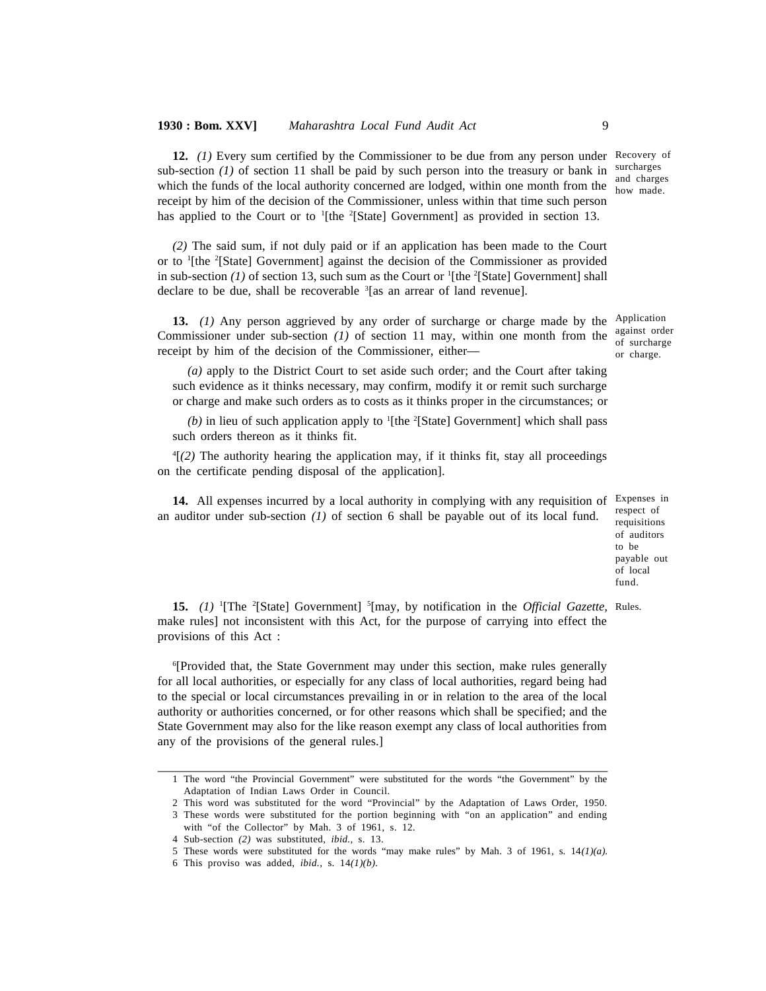12. (1) Every sum certified by the Commissioner to be due from any person under Recovery of sub-section (1) of section 11 shall be paid by such person into the treasury or bank in surcharges and charges which the funds of the local authority concerned are lodged, within one month from the  $\frac{m}{how}$  made. receipt by him of the decision of the Commissioner, unless within that time such person has applied to the Court or to <sup>1</sup>[the <sup>2</sup>[State] Government] as provided in section 13.

*(2)* The said sum, if not duly paid or if an application has been made to the Court or to <sup>1</sup>[the <sup>2</sup>[State] Government] against the decision of the Commissioner as provided in sub-section (1) of section 13, such sum as the Court or <sup>1</sup>[the <sup>2</sup>[State] Government] shall declare to be due, shall be recoverable <sup>3</sup>[as an arrear of land revenue].

13. (1) Any person aggrieved by any order of surcharge or charge made by the Application Commissioner under sub-section *(1)* of section 11 may, within one month from the receipt by him of the decision of the Commissioner, either—

against order of surcharge or charge.

*(a)* apply to the District Court to set aside such order; and the Court after taking such evidence as it thinks necessary, may confirm, modify it or remit such surcharge or charge and make such orders as to costs as it thinks proper in the circumstances; or

*(b)* in lieu of such application apply to <sup>1</sup>[the <sup>2</sup>[State] Government] which shall pass such orders thereon as it thinks fit.

<sup>4</sup>[*(2)* The authority hearing the application may, if it thinks fit, stay all proceedings on the certificate pending disposal of the application].

14. All expenses incurred by a local authority in complying with any requisition of Expenses in an auditor under sub-section *(1)* of section 6 shall be payable out of its local fund.

respect of requisitions of auditors to be payable out of local fund.

15. (1) <sup>1</sup>[The <sup>2</sup>[State] Government] <sup>5</sup>[may, by notification in the Official Gazette, Rules. make rules] not inconsistent with this Act, for the purpose of carrying into effect the provisions of this Act :

<sup>6</sup>[Provided that, the State Government may under this section, make rules generally for all local authorities, or especially for any class of local authorities, regard being had to the special or local circumstances prevailing in or in relation to the area of the local authority or authorities concerned, or for other reasons which shall be specified; and the State Government may also for the like reason exempt any class of local authorities from any of the provisions of the general rules.]

<sup>1</sup> The word "the Provincial Government" were substituted for the words "the Government" by the Adaptation of Indian Laws Order in Council.

<sup>2</sup> This word was substituted for the word "Provincial" by the Adaptation of Laws Order, 1950.

<sup>3</sup> These words were substituted for the portion beginning with "on an application" and ending with "of the Collector" by Mah. 3 of 1961, s. 12*.*

<sup>4</sup> Sub-section *(2)* was substituted, *ibid.,* s. 13.

<sup>5</sup> These words were substituted for the words "may make rules" by Mah. 3 of 1961, s. 14*(1)(a).*

<sup>6</sup> This proviso was added, *ibid.,* s. 14*(1)(b).*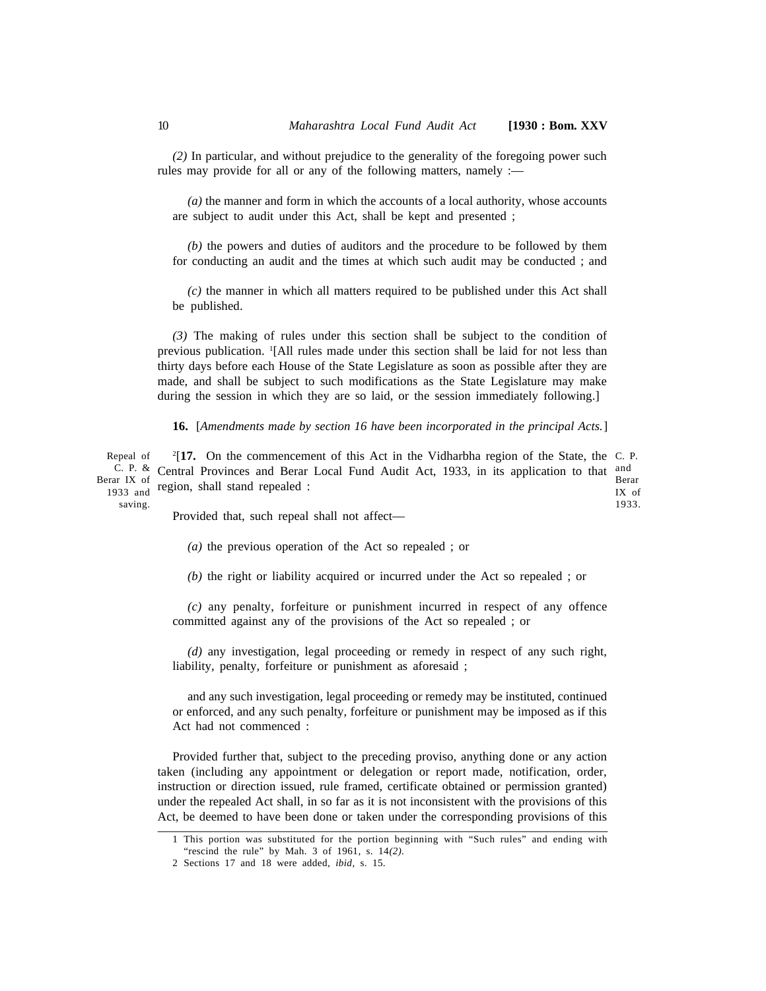*(2)* In particular, and without prejudice to the generality of the foregoing power such rules may provide for all or any of the following matters, namely :-

*(a)* the manner and form in which the accounts of a local authority, whose accounts are subject to audit under this Act, shall be kept and presented ;

*(b)* the powers and duties of auditors and the procedure to be followed by them for conducting an audit and the times at which such audit may be conducted ; and

*(c)* the manner in which all matters required to be published under this Act shall be published.

*(3)* The making of rules under this section shall be subject to the condition of previous publication. <sup>1</sup>[All rules made under this section shall be laid for not less than thirty days before each House of the State Legislature as soon as possible after they are made, and shall be subject to such modifications as the State Legislature may make during the session in which they are so laid, or the session immediately following.]

**16.** [*Amendments made by section 16 have been incorporated in the principal Acts.*]

Repeal of <sup>C. P. &</sup> Central Provinces and Berar Local Fund Audit Act, 1933, in its application to that and Berar IX of 1933 and saving. <sup>2</sup>[17. On the commencement of this Act in the Vidharbha region of the State, the C. P. Berar IX of 1933. region, shall stand repealed :

Provided that, such repeal shall not affect—

*(a)* the previous operation of the Act so repealed ; or

*(b)* the right or liability acquired or incurred under the Act so repealed ; or

*(c)* any penalty, forfeiture or punishment incurred in respect of any offence committed against any of the provisions of the Act so repealed ; or

*(d)* any investigation, legal proceeding or remedy in respect of any such right, liability, penalty, forfeiture or punishment as aforesaid ;

and any such investigation, legal proceeding or remedy may be instituted, continued or enforced, and any such penalty, forfeiture or punishment may be imposed as if this Act had not commenced :

Provided further that, subject to the preceding proviso, anything done or any action taken (including any appointment or delegation or report made, notification, order, instruction or direction issued, rule framed, certificate obtained or permission granted) under the repealed Act shall, in so far as it is not inconsistent with the provisions of this Act, be deemed to have been done or taken under the corresponding provisions of this

<sup>1</sup> This portion was substituted for the portion beginning with "Such rules" and ending with "rescind the rule" by Mah. 3 of 1961, s. 14*(2).*

<sup>2</sup> Sections 17 and 18 were added, *ibid,* s. 15.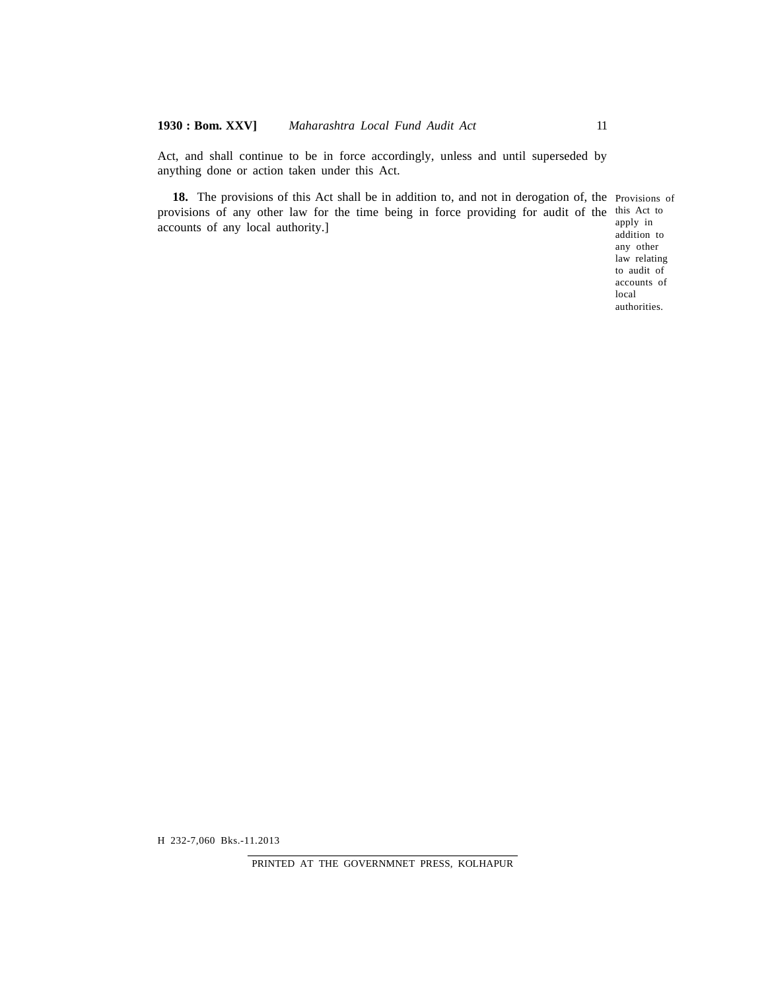Act, and shall continue to be in force accordingly, unless and until superseded by anything done or action taken under this Act.

18. The provisions of this Act shall be in addition to, and not in derogation of, the Provisions of provisions of any other law for the time being in force providing for audit of the this Act to apply in accounts of any local authority.]

addition to any other law relating to audit of accounts of local authorities.

H 232-7,060 Bks.-11.2013